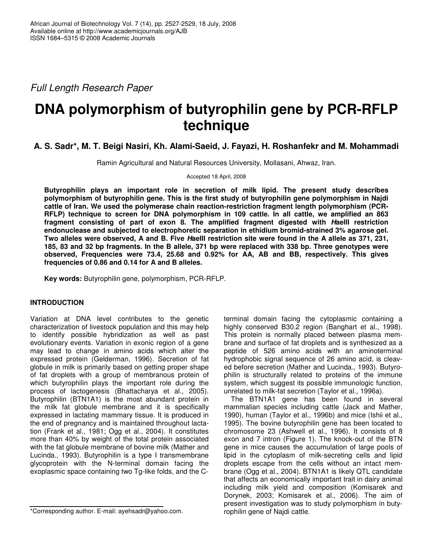*Full Length Research Paper*

# **DNA polymorphism of butyrophilin gene by PCR-RFLP technique**

## **A. S. Sadr\*, M. T. Beigi Nasiri, Kh. Alami-Saeid, J. Fayazi, H. Roshanfekr and M. Mohammadi**

Ramin Agricultural and Natural Resources University, Mollasani, Ahwaz, Iran.

Accepted 18 April, 2008

**Butyrophilin plays an important role in secretion of milk lipid. The present study describes polymorphism of butyrophilin gene. This is the first study of butyrophilin gene polymorphism in Najdi cattle of Iran. We used the polymerase chain reaction-restriction fragment length polymorphism (PCR-RFLP) technique to screen for DNA polymorphism in 109 cattle. In all cattle, we amplified an 863 fragment consisting of part of exon 8. The amplified fragment digested with** *H***aeIII restriction endonuclease and subjected to electrophoretic separation in ethidium bromid-strained 3% agarose gel.** Two alleles were observed, A and B. Five Haelll restriction site were found in the A allele as 371, 231, 185, 83 and 32 bp fragments. In the B allele, 371 bp were replaced with 338 bp. Three genotypes were **observed, Frequencies were 73.4, 25.68 and 0.92% for AA, AB and BB, respectively. This gives frequencies of 0.86 and 0.14 for A and B alleles.**

**Key words:** Butyrophilin gene, polymorphism, PCR-RFLP.

## **INTRODUCTION**

Variation at DNA level contributes to the genetic characterization of livestock population and this may help to identify possible hybridization as well as past evolutionary events. Variation in exonic region of a gene may lead to change in amino acids which alter the expressed protein (Gelderman, 1996). Secretion of fat globule in milk is primarily based on getting proper shape of fat droplets with a group of membranous protein of which butyrophilin plays the important role during the process of lactogenesis (Bhattacharya et al., 2005). Butyrophilin (BTN1A1) is the most abundant protein in the milk fat globule membrane and it is specifically expressed in lactating mammary tissue. It is produced in the end of pregnancy and is maintained throughout lactation (Frank et al., 1981; Ogg et al., 2004). It constitutes more than 40% by weight of the total protein associated with the fat globule membrane of bovine milk (Mather and Lucinda., 1993). Butyrophilin is a type I transmembrane glycoprotein with the N-terminal domain facing the exoplasmic space containing two Tg-like folds, and the C-

terminal domain facing the cytoplasmic containing a highly conserved B30.2 region (Banghart et al., 1998). This protein is normally placed between plasma membrane and surface of fat droplets and is synthesized as a peptide of 526 amino acids with an aminoterminal hydrophobic signal sequence of 26 amino acid, is cleaved before secretion (Mather and Lucinda., 1993). Butyrophilin is structurally related to proteins of the immune system, which suggest its possible immunologic function, unrelated to milk-fat secretion (Taylor et al., 1996a).

The BTN1A1 gene has been found in several mammalian species including cattle (Jack and Mather, 1990), human (Taylor et al., 1996b) and mice (Ishii et al., 1995). The bovine butyrophilin gene has been located to chromosome 23 (Ashwell et al., 1996). It consists of 8 exon and 7 intron (Figure 1). The knock-out of the BTN gene in mice causes the accumulation of large pools of lipid in the cytoplasm of milk-secreting cells and lipid droplets escape from the cells without an intact membrane (Ogg et al., 2004). BTN1A1 is likely QTL candidate that affects an economically important trait in dairy animal including milk yield and composition (Komisarek and Dorynek, 2003; Komisarek et al., 2006). The aim of present investigation was to study polymorphism in butyrophilin gene of Najdi cattle.

<sup>\*</sup>Corresponding author. E-mail: ayehsadr@yahoo.com.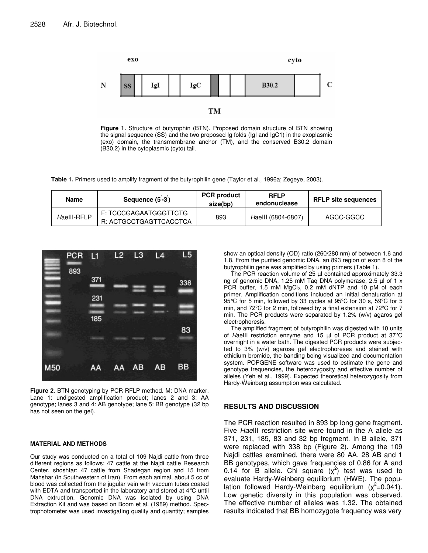

**Figure 1.** Structure of butyrophin (BTN). Proposed domain structure of BTN showing the signal sequence (SS) and the two proposed Ig folds (IgI and IgC1) in the exoplasmic (exo) domain, the transmembrane anchor (TM), and the conserved B30.2 domain (B30.2) in the cytoplasmic (cyto) tail.

**Table 1.** Primers used to amplify fragment of the butyrophilin gene (Taylor et al., 1996a; Zegeye, 2003).

| Name        | Sequence (5-3)                                  | <b>PCR</b> product<br>size(bp) | <b>RFLP</b><br>endonuclease | <b>RFLP site sequences</b> |
|-------------|-------------------------------------------------|--------------------------------|-----------------------------|----------------------------|
| Haelll-RFLP | F: TCCCGAGAATGGGTTCTG<br>R: ACTGCCTGAGTTCACCTCA | 893                            | Haelll (6804-6807)          | AGCC-GGCC                  |



**Figure 2**. BTN genotyping by PCR-RFLP method. M: DNA marker. Lane 1: undigested amplification product; lanes 2 and 3: AA genotype; lanes 3 and 4: AB genotype; lane 5: BB genotype (32 bp has not seen on the gel).

#### **MATERIAL AND METHODS**

Our study was conducted on a total of 109 Najdi cattle from three different regions as follows: 47 cattle at the Najdi cattle Research Center, shoshtar; 47 cattle from Shadegan region and 15 from Mahshar (in Southwestern of Iran). From each animal, about 5 cc of blood was collected from the jugular vein with vaccum tubes coated with EDTA and transported in the laboratory and stored at 4°C until DNA extruction. Genomic DNA was isolated by using DNA Extraction Kit and was based on Boom et al. (1989) method. Spectrophotometer was used investigating quality and quantity; samples show an optical density (OD) ratio (260/280 nm) of between 1.6 and 1.8. From the purified genomic DNA, an 893 region of exon 8 of the butyrophilin gene was amplified by using primers (Table 1).

The PCR reaction volume of 25 µl contained approximately 33.3 ng of genomic DNA, 1.25 mM Taq DNA polymerase, 2.5 µl of 1 x PCR buffer, 1.5 mM MgCl<sub>2</sub>, 0.2 mM dNTP and 10 pM of each primer. Amplification conditions included an initial denaturation at 95°C for 5 min, followed by 33 cycles at 95ºC for 30 s, 59ºC for 5 min, and 72ºC for 2 min, followed by a final extension at 72ºC for 7 min. The PCR products were separated by 1.2% (w/v) agaros gel electrophoresis.

The amplified fragment of butyrophilin was digested with 10 units of *H*aeIII restriction enzyme and 15 µl of PCR product at 37°C overnight in a water bath. The digested PCR products were subjected to 3% (w/v) agarose gel electrophoreses and stained with ethidium bromide, the banding being visualized and documentation system. POPGENE software was used to estimate the gene and genotype frequencies, the heterozygosity and effective number of alleles (Yeh et al., 1999). Expected theoretical heterozygosity from Hardy-Weinberg assumption was calculated.

### **RESULTS AND DISCUSSION**

The PCR reaction resulted in 893 bp long gene fragment. Five *Hae*III restriction site were found in the A allele as 371, 231, 185, 83 and 32 bp fregment. In B allele, 371 were replaced with 338 bp (Figure 2). Among the 109 Najdi cattles examined, there were 80 AA, 28 AB and 1 BB genotypes, which gave frequencies of 0.86 for A and 0.14 for B allele. Chi square  $(x^2)$  test was used to evaluate Hardy-Weinberg equilibrium (HWE). The population followed Hardy-Weinberg equilibrium  $(x^2=0.041)$ . Low genetic diversity in this population was observed. The effective number of alleles was 1.32. The obtained results indicated that BB homozygote frequency was very